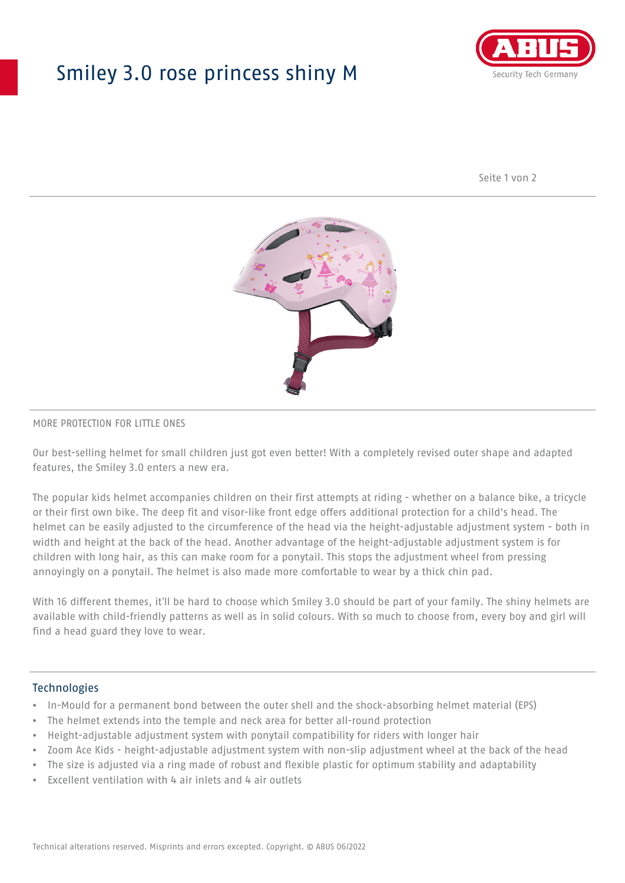## Smiley 3.0 rose princess shiny M



Seite 1 von 2



#### MORE PROTECTION FOR LITTLE ONES

Our best-selling helmet for small children just got even better! With a completely revised outer shape and adapted features, the Smiley 3.0 enters a new era.

The popular kids helmet accompanies children on their first attempts at riding - whether on a balance bike, a tricycle or their first own bike. The deep fit and visor-like front edge offers additional protection for a child's head. The helmet can be easily adjusted to the circumference of the head via the height-adjustable adjustment system - both in width and height at the back of the head. Another advantage of the height-adjustable adjustment system is for children with long hair, as this can make room for a ponytail. This stops the adjustment wheel from pressing annoyingly on a ponytail. The helmet is also made more comfortable to wear by a thick chin pad.

With 16 different themes, it'll be hard to choose which Smiley 3.0 should be part of your family. The shiny helmets are available with child-friendly patterns as well as in solid colours. With so much to choose from, every boy and girl will find a head guard they love to wear.

#### Technologies

- In-Mould for a permanent bond between the outer shell and the shock-absorbing helmet material (EPS)
- The helmet extends into the temple and neck area for better all-round protection
- Height-adjustable adjustment system with ponytail compatibility for riders with longer hair
- Zoom Ace Kids height-adjustable adjustment system with non-slip adjustment wheel at the back of the head
- The size is adjusted via a ring made of robust and flexible plastic for optimum stability and adaptability
- Excellent ventilation with 4 air inlets and 4 air outlets